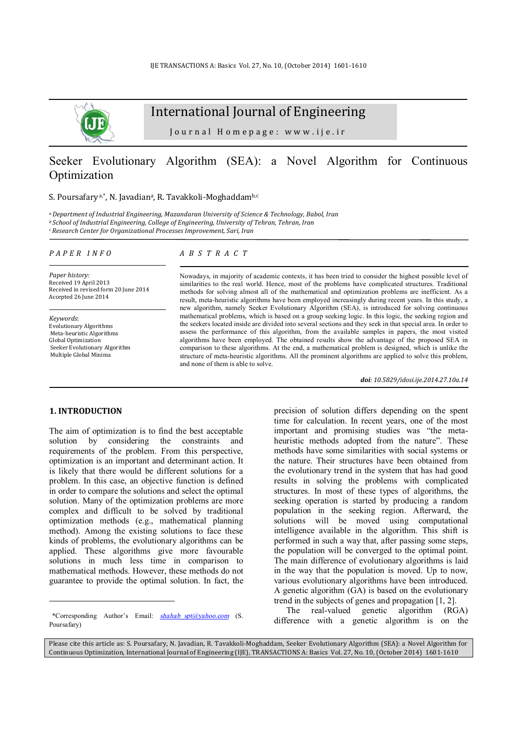

# International Journal of Engineering

Journal Homepage: www.ije.ir

# Seeker Evolutionary Algorithm (SEA): a Novel Algorithm for Continuous Optimization

#### S. Poursafary <sup>a,\*</sup>, N. Javadian<sup>a</sup>, R. Tavakkoli-Moghaddam<sup>b,c</sup>

*<sup>a</sup>Department of Industrial Engineering, Mazandaran University of Science & Technology, Babol, Iran <sup>b</sup>School of Industrial Engineering, College of Engineering, University of Tehran, Tehran, Iran <sup>c</sup>Research Center for Organizational Processes Improvement, Sari, Iran*

#### *P A P E R I N F O*

*Paper history:*  Received 19 April 2013 Received in revised form 20 June 2014 Accepted 26 June 2014

*Keywords*: Evolutionary Algorithms Meta-heuristic Algorithms Global Optimization Seeker Evolutionary Algorithm Multiple Global Minima

### *A B S T R A C T*

Nowadays, in majority of academic contexts, it has been tried to consider the highest possible level of similarities to the real world. Hence, most of the problems have complicated structures. Traditional methods for solving almost all of the mathematical and optimization problems are inefficient. As a result, meta-heuristic algorithms have been employed increasingly during recent years. In this study, a new algorithm, namely Seeker Evolutionary Algorithm (SEA), is introduced for solving continuous mathematical problems, which is based on a group seeking logic. In this logic, the seeking region and the seekers located inside are divided into several sections and they seek in that special area. In order to assess the performance of this algorithm, from the available samples in papers, the most visited algorithms have been employed. The obtained results show the advantage of the proposed SEA in comparison to these algorithms. At the end, a mathematical problem is designed, which is unlike the structure of meta-heuristic algorithms. All the prominent algorithms are applied to solve this problem, and none of them is able to solve.

*doi: 10.5829/idosi.ije.2014.27.10a.14*

### **1. INTRODUCTION<sup>1</sup>**

l

The aim of optimization is to find the best acceptable solution by considering the constraints and requirements of the problem. From this perspective, optimization is an important and determinant action. It is likely that there would be different solutions for a problem. In this case, an objective function is defined in order to compare the solutions and select the optimal solution. Many of the optimization problems are more complex and difficult to be solved by traditional optimization methods (e.g., mathematical planning method). Among the existing solutions to face these kinds of problems, the evolutionary algorithms can be applied. These algorithms give more favourable solutions in much less time in comparison to mathematical methods. However, these methods do not guarantee to provide the optimal solution. In fact, the

precision of solution differs depending on the spent time for calculation. In recent years, one of the most important and promising studies was "the metaheuristic methods adopted from the nature". These methods have some similarities with social systems or the nature. Their structures have been obtained from the evolutionary trend in the system that has had good results in solving the problems with complicated structures. In most of these types of algorithms, the seeking operation is started by producing a random population in the seeking region. Afterward, the solutions will be moved using computational intelligence available in the algorithm. This shift is performed in such a way that, after passing some steps, the population will be converged to the optimal point. The main difference of evolutionary algorithms is laid in the way that the population is moved. Up to now, various evolutionary algorithms have been introduced. A genetic algorithm (GA) is based on the evolutionary trend in the subjects of genes and propagation [1, 2].

The real-valued genetic algorithm (RGA) difference with a genetic algorithm is on the

<sup>1</sup> \*Corresponding Author's Email: *[shahab\\_spt@yahoo.com](mailto:shahab_spt@yahoo.com)* (S. Poursafary)

Please cite this article as: S. Poursafary, N. Javadian, R. Tavakkoli-Moghaddam, Seeker Evolutionary Algorithm (SEA): a Novel Algorithm for Continuous Optimization, International Journal of Engineering (IJE), TRANSACTIONS A: Basics Vol. 27, No. 10, (October 2014) 1601-1610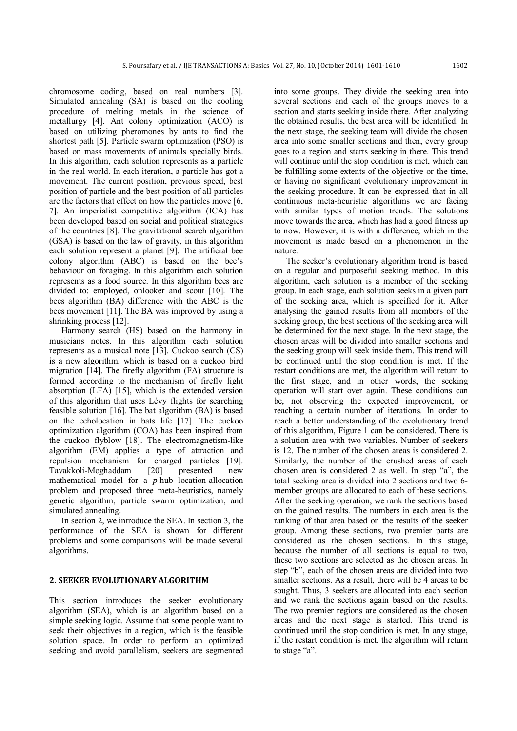chromosome coding, based on real numbers [3]. Simulated annealing (SA) is based on the cooling procedure of melting metals in the science of metallurgy [4]. Ant colony optimization (ACO) is based on utilizing pheromones by ants to find the shortest path [5]. Particle swarm optimization (PSO) is based on mass movements of animals specially birds. In this algorithm, each solution represents as a particle in the real world. In each iteration, a particle has got a movement. The current position, previous speed, best position of particle and the best position of all particles are the factors that effect on how the particles move [6, 7]. An imperialist competitive algorithm (ICA) has been developed based on social and political strategies of the countries [8]. The gravitational search algorithm (GSA) is based on the law of gravity, in this algorithm each solution represent a planet [9]. The artificial bee colony algorithm (ABC) is based on the bee's behaviour on foraging. In this algorithm each solution represents as a food source. In this algorithm bees are divided to: employed, onlooker and scout [10]. The bees algorithm (BA) difference with the ABC is the bees movement [11]. The BA was improved by using a shrinking process [12].

Harmony search (HS) based on the harmony in musicians notes. In this algorithm each solution represents as a musical note [13]. Cuckoo search (CS) is a new algorithm, which is based on a cuckoo bird migration [14]. The firefly algorithm (FA) structure is formed according to the mechanism of firefly light absorption (LFA) [15], which is the extended version of this algorithm that uses Lévy flights for searching feasible solution [16]. The bat algorithm (BA) is based on the echolocation in bats life [17]. The cuckoo optimization algorithm (COA) has been inspired from the cuckoo flyblow [18]. The electromagnetism-like algorithm (EM) applies a type of attraction and repulsion mechanism for charged particles [19]. Tavakkoli-Moghaddam [20] presented new mathematical model for a *p*-hub location-allocation problem and proposed three meta-heuristics, namely genetic algorithm, particle swarm optimization, and simulated annealing.

In section 2, we introduce the SEA. In section 3, the performance of the SEA is shown for different problems and some comparisons will be made several algorithms.

### **2. SEEKER EVOLUTIONARY ALGORITHM**

This section introduces the seeker evolutionary algorithm (SEA), which is an algorithm based on a simple seeking logic. Assume that some people want to seek their objectives in a region, which is the feasible solution space. In order to perform an optimized seeking and avoid parallelism, seekers are segmented

into some groups. They divide the seeking area into several sections and each of the groups moves to a section and starts seeking inside there. After analyzing the obtained results, the best area will be identified. In the next stage, the seeking team will divide the chosen area into some smaller sections and then, every group goes to a region and starts seeking in there. This trend will continue until the stop condition is met, which can be fulfilling some extents of the objective or the time, or having no significant evolutionary improvement in the seeking procedure. It can be expressed that in all continuous meta-heuristic algorithms we are facing with similar types of motion trends. The solutions move towards the area, which has had a good fitness up to now. However, it is with a difference, which in the movement is made based on a phenomenon in the nature.

The seeker's evolutionary algorithm trend is based on a regular and purposeful seeking method. In this algorithm, each solution is a member of the seeking group. In each stage, each solution seeks in a given part of the seeking area, which is specified for it. After analysing the gained results from all members of the seeking group, the best sections of the seeking area will be determined for the next stage. In the next stage, the chosen areas will be divided into smaller sections and the seeking group will seek inside them. This trend will be continued until the stop condition is met. If the restart conditions are met, the algorithm will return to the first stage, and in other words, the seeking operation will start over again. These conditions can be, not observing the expected improvement, or reaching a certain number of iterations. In order to reach a better understanding of the evolutionary trend of this algorithm, Figure 1 can be considered. There is a solution area with two variables. Number of seekers is 12. The number of the chosen areas is considered 2. Similarly, the number of the crushed areas of each chosen area is considered 2 as well. In step "a", the total seeking area is divided into 2 sections and two 6 member groups are allocated to each of these sections. After the seeking operation, we rank the sections based on the gained results. The numbers in each area is the ranking of that area based on the results of the seeker group. Among these sections, two premier parts are considered as the chosen sections. In this stage, because the number of all sections is equal to two, these two sections are selected as the chosen areas. In step "b", each of the chosen areas are divided into two smaller sections. As a result, there will be 4 areas to be sought. Thus, 3 seekers are allocated into each section and we rank the sections again based on the results. The two premier regions are considered as the chosen areas and the next stage is started. This trend is continued until the stop condition is met. In any stage, if the restart condition is met, the algorithm will return to stage "a".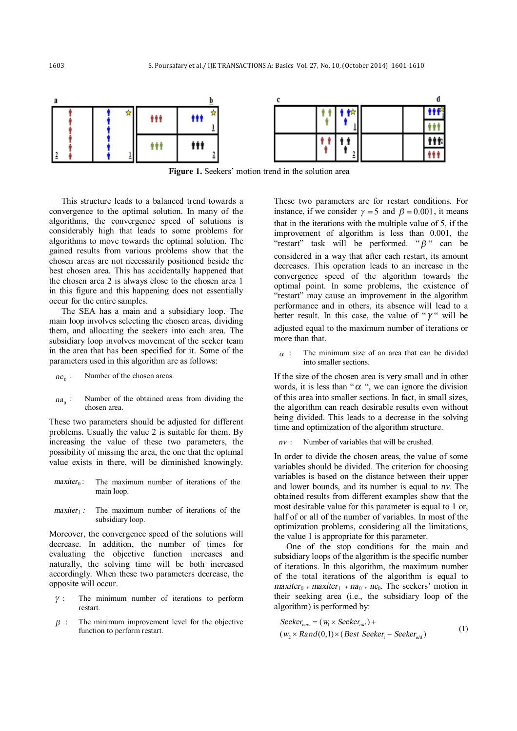

**Figure 1.** Seekers' motion trend in the solution area

This structure leads to a balanced trend towards a convergence to the optimal solution. In many of the algorithms, the convergence speed of solutions is considerably high that leads to some problems for algorithms to move towards the optimal solution. The gained results from various problems show that the chosen areas are not necessarily positioned beside the best chosen area. This has accidentally happened that the chosen area 2 is always close to the chosen area 1 in this figure and this happening does not essentially occur for the entire samples.

The SEA has a main and a subsidiary loop. The main loop involves selecting the chosen areas, dividing them, and allocating the seekers into each area. The subsidiary loop involves movement of the seeker team in the area that has been specified for it. Some of the parameters used in this algorithm are as follows:

- Number of the chosen areas.  $nc_0$ :
- Number of the obtained areas from dividing the chosen area.  $na_0$ :

These two parameters should be adjusted for different problems. Usually the value 2 is suitable for them. By increasing the value of these two parameters, the possibility of missing the area, the one that the optimal value exists in there, will be diminished knowingly.

- *maxiter*<sub>0</sub>: The maximum number of iterations of the main loop.
- *maxiter* 1 *i* The maximum number of iterations of the subsidiary loop.

Moreover, the convergence speed of the solutions will decrease. In addition, the number of times for evaluating the objective function increases and naturally, the solving time will be both increased accordingly. When these two parameters decrease, the opposite will occur.

- The minimum number of iterations to perform restart.  $\gamma$  :
- The minimum improvement level for the objective function to perform restart.  $\beta$  :

These two parameters are for restart conditions. For instance, if we consider  $\gamma = 5$  and  $\beta = 0.001$ , it means that in the iterations with the multiple value of 5, if the improvement of algorithm is less than 0.001, the "restart" task will be performed. "*B* " can be considered in a way that after each restart, its amount decreases. This operation leads to an increase in the convergence speed of the algorithm towards the optimal point. In some problems, the existence of "restart" may cause an improvement in the algorithm performance and in others, its absence will lead to a better result. In this case, the value of " $\gamma$ " will be adjusted equal to the maximum number of iterations or more than that.

The minimum size of an area that can be divided into smaller sections. *<sup>a</sup>* :

If the size of the chosen area is very small and in other words, it is less than " $\alpha$ ", we can ignore the division of this area into smaller sections. In fact, in small sizes, the algorithm can reach desirable results even without being divided. This leads to a decrease in the solving time and optimization of the algorithm structure.

*nv* : Number of variables that will be crushed.

In order to divide the chosen areas, the value of some variables should be divided. The criterion for choosing variables is based on the distance between their upper and lower bounds, and its number is equal to *nv*. The obtained results from different examples show that the most desirable value for this parameter is equal to 1 or, half of or all of the number of variables. In most of the optimization problems, considering all the limitations, the value 1 is appropriate for this parameter.

One of the stop conditions for the main and subsidiary loops of the algorithm is the specific number of iterations. In this algorithm, the maximum number of the total iterations of the algorithm is equal to *maxiter*<sup>0</sup>  $*$  *maxiter*<sup>1</sup>  $*$  *na*<sup>0</sup>  $*$  *nc*<sup>0</sup>. The seekers' motion in their seeking area (i.e., the subsidiary loop of the algorithm) is performed by:

$$
Selectnew = (w1 × Selectold) +(w2 × Rand(0,1) × (Best Select1 - Selectold)
$$
\n(1)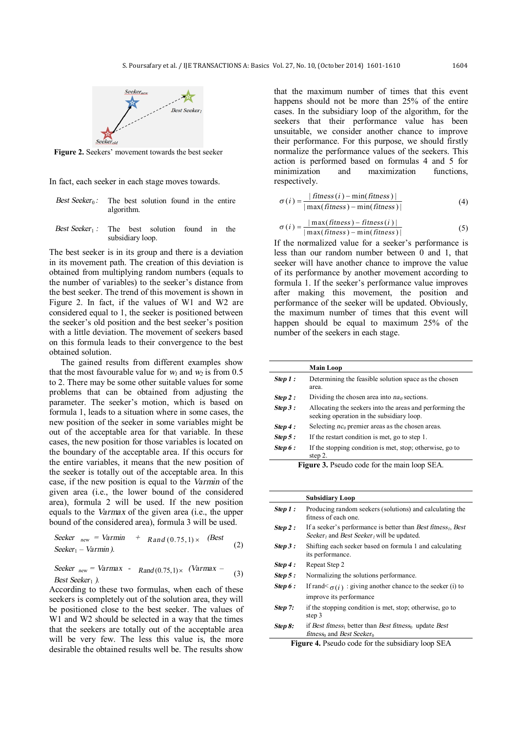

**Figure 2.** Seekers' movement towards the best seeker

In fact, each seeker in each stage moves towards.

- *Best Seeker*<sub>0</sub>: The best solution found in the entire algorithm.
- *Best Seeker*<sup>1</sup> *:* The best solution found in the subsidiary loop.

The best seeker is in its group and there is a deviation in its movement path. The creation of this deviation is obtained from multiplying random numbers (equals to the number of variables) to the seeker's distance from the best seeker. The trend of this movement is shown in Figure 2. In fact, if the values of W1 and W2 are considered equal to 1, the seeker is positioned between the seeker's old position and the best seeker's position with a little deviation. The movement of seekers based on this formula leads to their convergence to the best obtained solution.

The gained results from different examples show that the most favourable value for  $w_1$  and  $w_2$  is from 0.5 to 2. There may be some other suitable values for some problems that can be obtained from adjusting the parameter. The seeker's motion, which is based on formula 1, leads to a situation where in some cases, the new position of the seeker in some variables might be out of the acceptable area for that variable. In these cases, the new position for those variables is located on the boundary of the acceptable area. If this occurs for the entire variables, it means that the new position of the seeker is totally out of the acceptable area. In this case, if the new position is equal to the *Varmin* of the given area (i.e., the lower bound of the considered area), formula 2 will be used. If the new position equals to the *Varmax* of the given area (i.e., the upper bound of the considered area), formula 3 will be used.

$$
\text{Select}_{\text{new}} = \text{Varmin} + \text{Rand}(0.75, 1) \times (\text{Best} - \text{Xarmin}).\tag{2}
$$

Seeker  $_{new}$  =  $Varmax$  -  $Rand(0.75,1) \times (Varmax - (3))$ *Best Seeker*<sup>1</sup> *)*.

According to these two formulas, when each of these seekers is completely out of the solution area, they will be positioned close to the best seeker. The values of W1 and W2 should be selected in a way that the times that the seekers are totally out of the acceptable area will be very few. The less this value is, the more desirable the obtained results well be. The results show

that the maximum number of times that this event happens should not be more than 25% of the entire cases. In the subsidiary loop of the algorithm, for the seekers that their performance value has been unsuitable, we consider another chance to improve their performance. For this purpose, we should firstly normalize the performance values of the seekers. This action is performed based on formulas 4 and 5 for minimization and maximization functions, respectively.

$$
\sigma(i) = \frac{|\text{fitness}(i) - \min(\text{fitness})|}{|\max(\text{fitness}) - \min(\text{fitness})|}
$$
(4)

$$
\sigma(i) = \frac{|\max(fitness) - fitness(i)|}{|\max(fitness) - \min(fitness)|}
$$
(5)

If the normalized value for a seeker's performance is less than our random number between 0 and 1, that seeker will have another chance to improve the value of its performance by another movement according to formula 1. If the seeker's performance value improves after making this movement, the position and performance of the seeker will be updated. Obviously, the maximum number of times that this event will happen should be equal to maximum 25% of the number of the seekers in each stage.

| Determining the feasible solution space as the chosen<br>Step 1:<br>area.<br>Dividing the chosen area into $na_0$ sections.<br>Step 2:<br>Step 3:<br>Allocating the seekers into the areas and performing the<br>seeking operation in the subsidiary loop. |
|------------------------------------------------------------------------------------------------------------------------------------------------------------------------------------------------------------------------------------------------------------|
|                                                                                                                                                                                                                                                            |
|                                                                                                                                                                                                                                                            |
|                                                                                                                                                                                                                                                            |
| Selecting $nc_0$ premier areas as the chosen areas.<br>Step 4 :                                                                                                                                                                                            |
| If the restart condition is met, go to step 1.<br>Step 5:                                                                                                                                                                                                  |
| If the stopping condition is met, stop; otherwise, go to<br>Step 6 :<br>step 2.                                                                                                                                                                            |

**Figure 3.** Pseudo code for the main loop SEA.

|          | <b>Subsidiary Loop</b>                                                                                                                         |
|----------|------------------------------------------------------------------------------------------------------------------------------------------------|
| Step 1:  | Producing random seekers (solutions) and calculating the<br>fitness of each one.                                                               |
| Step 2:  | If a seeker's performance is better than Best fitness <sub>1</sub> , Best<br>Seeker <sub>1</sub> and Best Seeker <sub>1</sub> will be updated. |
| Step 3:  | Shifting each seeker based on formula 1 and calculating<br>its performance.                                                                    |
| Step 4 : | Repeat Step 2                                                                                                                                  |
| Step 5 : | Normalizing the solutions performance.                                                                                                         |
| Step 6 : | If rand $\leq_{\sigma(i)}$ : giving another chance to the seeker (i) to                                                                        |
|          | improve its performance                                                                                                                        |
| Step 7:  | if the stopping condition is met, stop; otherwise, go to<br>step 3                                                                             |
| Step 8:  | if Best fitness <sub>1</sub> better than Best fitness <sub>0</sub> update Best<br>fitness <sub>0</sub> and <i>Best Seeker</i> <sub>0</sub>     |
|          | <b>Figure 4.</b> Pseudo code for the subsidiary loop SEA                                                                                       |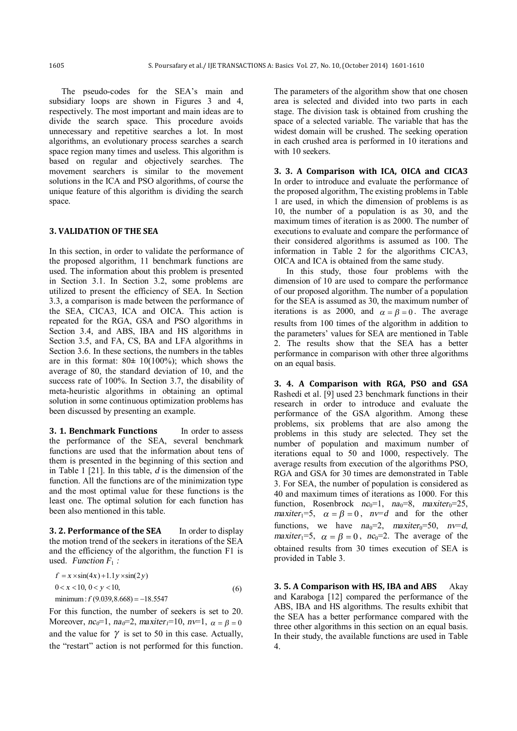The pseudo-codes for the SEA's main and subsidiary loops are shown in Figures 3 and 4, respectively. The most important and main ideas are to divide the search space. This procedure avoids unnecessary and repetitive searches a lot. In most algorithms, an evolutionary process searches a search space region many times and useless. This algorithm is based on regular and objectively searches. The movement searchers is similar to the movement solutions in the ICA and PSO algorithms, of course the unique feature of this algorithm is dividing the search space.

#### **3. VALIDATION OF THE SEA**

In this section, in order to validate the performance of the proposed algorithm, 11 benchmark functions are used. The information about this problem is presented in Section 3.1. In Section 3.2, some problems are utilized to present the efficiency of SEA. In Section 3.3, a comparison is made between the performance of the SEA, CICA3, ICA and OICA. This action is repeated for the RGA, GSA and PSO algorithms in Section 3.4, and ABS, IBA and HS algorithms in Section 3.5, and FA, CS, BA and LFA algorithms in Section 3.6. In these sections, the numbers in the tables are in this format: 80**±** 10(100%); which shows the average of 80, the standard deviation of 10, and the success rate of 100%. In Section 3.7, the disability of meta-heuristic algorithms in obtaining an optimal solution in some continuous optimization problems has been discussed by presenting an example.

**3. 1. Benchmark Functions** In order to assess the performance of the SEA, several benchmark functions are used that the information about tens of them is presented in the beginning of this section and in Table 1 [21]. In this table, *d* is the dimension of the function. All the functions are of the minimization type and the most optimal value for these functions is the least one. The optimal solution for each function has been also mentioned in this table.

**3. 2. Performance of the SEA** In order to display the motion trend of the seekers in iterations of the SEA and the efficiency of the algorithm, the function F1 is used. *Function*  $F_1$  *:* 

$$
f = x \times \sin(4x) + 1.1y \times \sin(2y)
$$
  
\n
$$
0 < x < 10, 0 < y < 10,
$$
  
\nminimum:  $f(9.039, 8.668) = -18.5547$  (6)

For this function, the number of seekers is set to 20. Moreover,  $nc_0=1$ ,  $na_0=2$ ,  $maxiter_1=10$ ,  $nv=1$ ,  $\alpha = \beta = 0$ and the value for  $\gamma$  is set to 50 in this case. Actually, the "restart" action is not performed for this function.

The parameters of the algorithm show that one chosen area is selected and divided into two parts in each stage. The division task is obtained from crushing the space of a selected variable. The variable that has the widest domain will be crushed. The seeking operation in each crushed area is performed in 10 iterations and with 10 seekers.

**3. 3. A Comparison with ICA, OICA and CICA3**  In order to introduce and evaluate the performance of the proposed algorithm, The existing problems in Table 1 are used, in which the dimension of problems is as 10, the number of a population is as 30, and the maximum times of iteration is as 2000. The number of executions to evaluate and compare the performance of their considered algorithms is assumed as 100. The information in Table 2 for the algorithms CICA3, OICA and ICA is obtained from the same study.

In this study, those four problems with the dimension of 10 are used to compare the performance of our proposed algorithm. The number of a population for the SEA is assumed as 30, the maximum number of iterations is as 2000, and  $\alpha = \beta = 0$ . The average results from 100 times of the algorithm in addition to the parameters' values for SEA are mentioned in Table 2. The results show that the SEA has a better performance in comparison with other three algorithms on an equal basis.

**3. 4. A Comparison with RGA, PSO and GSA**  Rashedi et al. [9] used 23 benchmark functions in their research in order to introduce and evaluate the performance of the GSA algorithm. Among these problems, six problems that are also among the problems in this study are selected. They set the number of population and maximum number of iterations equal to 50 and 1000, respectively. The average results from execution of the algorithms PSO, RGA and GSA for 30 times are demonstrated in Table 3. For SEA, the number of population is considered as 40 and maximum times of iterations as 1000. For this function, Rosenbrock  $nc_0=1$ ,  $na_0=8$ ,  $maxiter_0=25$ , *maxiter*<sup>1=5</sup>,  $\alpha = \beta = 0$ ,  $n \neq d$  and for the other functions, we have  $na_0=2$ ,  $maxiter_0=50$ ,  $nv=d$ , *maxiter*<sub>1</sub>=5,  $\alpha = \beta = 0$ , *nc*<sub>0</sub>=2. The average of the obtained results from 30 times execution of SEA is provided in Table 3.

**3. 5. A Comparison with HS, IBA and ABS** Akay and Karaboga [12] compared the performance of the ABS, IBA and HS algorithms. The results exhibit that the SEA has a better performance compared with the three other algorithms in this section on an equal basis. In their study, the available functions are used in Table 4.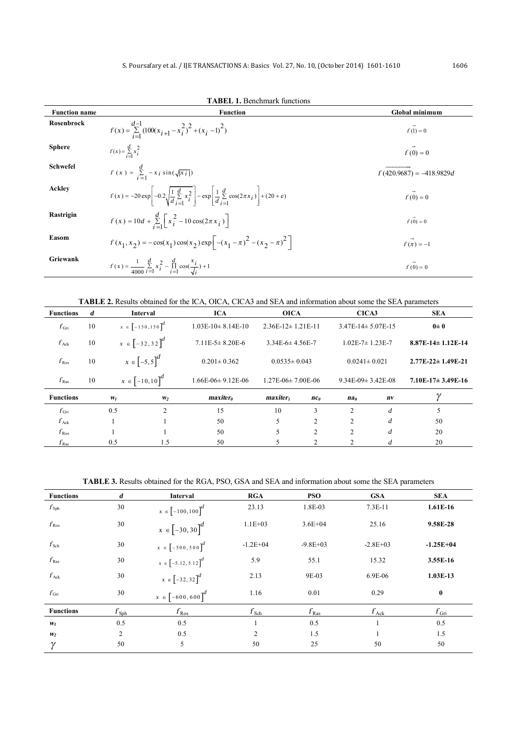| <b>Function name</b> | <b>TABEL 1.</b> Benchmark functions<br><b>Function</b>                                                                                               | Global minimum             |
|----------------------|------------------------------------------------------------------------------------------------------------------------------------------------------|----------------------------|
| Rosenbrock           | $f(x) = \sum_{i=1}^{d-1} (100(x_{i+1} - x_i^2)^2 + (x_i - 1)^2)$                                                                                     | $f(1) = 0$                 |
| <b>Sphere</b>        | $f(x) = \sum_{i=1}^{d} x_i^2$                                                                                                                        | $f(0) = 0$                 |
| Schwefel             | $f(x) = \sum_{i=1}^{d} -x_i \sin(\sqrt{ x_i })$                                                                                                      | $f(420.9687) = -418.9829d$ |
| Ackley               | $f(x) = -20 \exp \left[-0.2 \sqrt{\frac{1}{d} \sum_{i=1}^{d} x_i^2}\right] - \exp \left[\frac{1}{d} \sum_{i=1}^{d} \cos(2\pi x_i)\right] + (20 + e)$ | $f(0) = 0$                 |
| Rastrigin            | $f(x) = 10d + \sum_{i=1}^{d} \left[ x_i^2 - 10 \cos(2\pi x_i) \right]$                                                                               | $f(0) = 0$                 |
| Easom                | $f(x_1, x_2) = -\cos(x_1)\cos(x_2)\exp\left[-(x_1 - \pi)^2 - (x_2 - \pi)^2\right]$                                                                   | $f(\vec{\pi})=-1$          |
| Griewank             | $f(x) = \frac{1}{4000} \sum_{i=1}^{d} x_i^2 - \prod_{i=1}^{d} \cos(\frac{x_i}{\sqrt{i}}) + 1$                                                        | $f(0) = 0$                 |

## **TABLE 2.** Results obtained for the ICA, OICA, CICA3 and SEA and information about some the SEA parameters

| <b>Functions</b> | d  | <b>Interval</b>                  |                | <b>ICA</b>                  | <b>OICA</b>            |                 | CICA3                   |         | <b>SEA</b>              |
|------------------|----|----------------------------------|----------------|-----------------------------|------------------------|-----------------|-------------------------|---------|-------------------------|
| $f_{\rm Gri}$    | 10 | $x \in \left[-150, 150\right]^d$ |                | $1.03E-10=8.14E-10$         | $2.36E-12\pm 1.21E-11$ |                 | $3.47E-14\pm 5.07E-15$  |         | $0\pm 0$                |
| $f_{\text{Ack}}$ | 10 | $x \in \left[-32, 32\right]^d$   |                | $7.11E-5\pm 8.20E-6$        | $3.34E-6 \pm 4.56E-7$  |                 | $1.02E - 7 = 1.23E - 7$ |         | $8.87E-14 \pm 1.12E-14$ |
| $f_{\rm Ros}$    | 10 | $x \in [-5, 5]^d$                |                | $0.201 \pm 0.362$           | $0.0535 \pm 0.043$     |                 | $0.0241 \pm 0.021$      |         | $2.77E-22 \pm 1.49E-21$ |
| $f_{\rm Ras}$    | 10 | $x \in [-10, 10]^d$              |                | $1.66E-06\pm 9.12E-06$      | $1.27E-06\pm 7.00E-06$ |                 | $9.34E-09 \pm 3.42E-08$ |         | $7.10E-17\pm 3.49E-16$  |
| <b>Functions</b> |    | $W_I$                            | W <sub>2</sub> | <i>maxiter</i> <sup>0</sup> | $maxiter_1$            | nc <sub>0</sub> | na <sub>0</sub>         | $n_{V}$ |                         |
| $f_{\rm Gri}$    |    | 0.5                              | $\overline{c}$ | 15                          | 10                     | 3               | 2                       | d       | 5                       |
| $f_{\text{Ack}}$ |    |                                  |                | 50                          | 5                      | 2               | $\mathfrak{D}$          | d       | 50                      |
| $f_{\rm Ros}$    |    |                                  |                | 50                          | 5                      | $\overline{2}$  | 2                       | d       | 20                      |
| $f_{\rm Ras}$    |    | 0.5                              | 1.5            | 50                          |                        |                 |                         | d       | 20                      |

**TABLE 3.** Results obtained for the RGA, PSO, GSA and SEA and information about some the SEA parameters

| <b>Functions</b> | d              | <b>Interval</b>           | <b>RGA</b>       | <b>PSO</b>    | <b>GSA</b>    | <b>SEA</b>    |
|------------------|----------------|---------------------------|------------------|---------------|---------------|---------------|
| $f_{\rm Sph}$    | 30             | $x \in [-100, 100]^d$     | 23.13            | 1.8E-03       | 7.3E-11       | 1.61E-16      |
| $f_{\rm Ros}$    | 30             | $x \in [-30, 30]^d$       | $1.1E + 03$      | $3.6E + 04$   | 25.16         | 9.58E-28      |
| $f_{\rm Sch}$    | 30             | $x \in [-500, 500]^{d}$   | $-1.2E + 04$     | $-9.8E+03$    | $-2.8E+03$    | $-1.25E+04$   |
| $f_{\rm Ras}$    | 30             | $x \in [-5.12, 5.12]^{d}$ | 5.9              | 55.1          | 15.32         | 3.55E-16      |
| $f_{\text{Ack}}$ | 30             | $x \in [-32, 32]^d$       | 2.13             | 9E-03         | 6.9E-06       | $1.03E-13$    |
| $f_{\rm Gri}$    | 30             | $x \in [-600, 600]^d$     | 1.16             | 0.01          | 0.29          | $\bf{0}$      |
| <b>Functions</b> | $f_{\rm Sph}$  | $f_{\rm Ros}$             | $f_{\text{Sch}}$ | $f_{\rm Ras}$ | $f_{\rm Ack}$ | $f_{\rm Gri}$ |
| $W_I$            | 0.5            | 0.5                       |                  | 0.5           |               | 0.5           |
| W <sub>2</sub>   | $\overline{2}$ | 0.5                       | $\overline{2}$   | 1.5           |               | 1.5           |
| γ                | 50             | 5                         | 50               | 25            | 50            | 50            |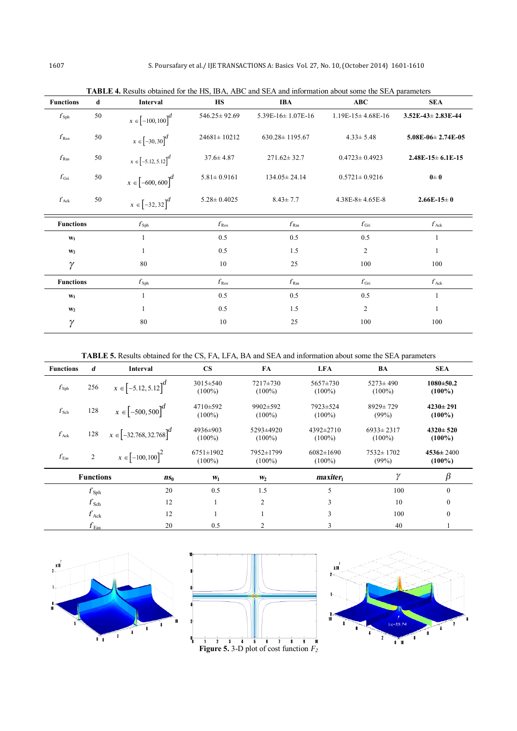| <b>Functions</b> | d  | <b>Interval</b>                  | <b>HS</b>          | <b>IBA</b>                          | ABC                    | <b>SEA</b>                  |  |
|------------------|----|----------------------------------|--------------------|-------------------------------------|------------------------|-----------------------------|--|
| $f_{\rm Sph}$    | 50 | $x \in [-100, 100]^d$            | $546.25 \pm 92.69$ | $5.39E-16 \pm 1.07E-16$             | $1.19E-15\pm 4.68E-16$ | $3.52E-43 \pm 2.83E-44$     |  |
| $f_{\rm Ros}$    | 50 | $x \in [-30, 30]^d$              | $24681 \pm 10212$  | $630.28 \pm 1195.67$                | $4.33 \pm 5.48$        | $5.08E - 06 \pm 2.74E - 05$ |  |
| $f_{\rm Ras}$    | 50 | $x\in \left[-5.12,5.12\right]^d$ | $37.6 \pm 4.87$    | $271.62 \pm 32.7$                   | $0.4723 \pm 0.4923$    | $2.48E-15\pm 6.1E-15$       |  |
| $f_{\rm Gri}$    | 50 | $x\in \left[-600,600\right]^d$   | $5.81 \pm 0.9161$  | $134.05 \pm 24.14$                  | $0.5721 \pm 0.9216$    | $0\pm 0$                    |  |
| $f_{\text{Ack}}$ | 50 | $x\in \left[-32,32\right]^d$     | $5.28 \pm 0.4025$  | $8.43 \pm 7.7$<br>$4.38E-8+4.65E-8$ |                        | $2.66E-15=0$                |  |
| <b>Functions</b> |    | $f_{\rm Sph}$                    | $f_{\rm Ros}$      | $f_{\rm Ras}$                       | $f_{\rm Gri}$          | $f_{\rm Ack}$               |  |
| $W_1$            |    | 1                                | 0.5                | 0.5                                 | 0.5                    | $\mathbf{1}$                |  |
| W <sub>2</sub>   |    | 1                                | 0.5                | 1.5                                 | 2                      | $\mathbf{1}$                |  |
| $\gamma$         |    | 80                               | 10                 | 25                                  | 100                    | 100                         |  |
| <b>Functions</b> |    | $f_{\rm Sph}$                    | $f_{\rm Ros}$      | $f_{\rm Ras}$                       | $f_{\rm Gri}$          | $f_{\rm Ack}$               |  |
| $W_1$            |    |                                  | 0.5                | 0.5                                 | 0.5                    | 1                           |  |
| W <sub>2</sub>   |    | 1                                | 0.5                | 1.5                                 | $\overline{c}$         | $\mathbf{1}$                |  |
| 80<br>γ          |    |                                  | 10                 | 25                                  | 100                    | 100                         |  |

**TABLE 4.** Results obtained for the HS, IBA, ABC and SEA and information about some the SEA parameters

**TABLE 5.** Results obtained for the CS, FA, LFA, BA and SEA and information about some the SEA parameters

| <b>Functions</b> | d                                   | Interval                    | $\mathbf{CS}$                | FA                     | <b>LFA</b>                   | BA                           | <b>SEA</b>                   |
|------------------|-------------------------------------|-----------------------------|------------------------------|------------------------|------------------------------|------------------------------|------------------------------|
| $f_{\rm Sph}$    | 256                                 | $x \in [-5.12, 5.12]^d$     | $3015 \pm 540$<br>$(100\%)$  | 7217±730<br>$(100\%)$  | $5657 \pm 730$<br>$(100\%)$  | $5273 \pm 490$<br>$(100\%)$  | $1080 \pm 50.2$<br>$(100\%)$ |
| $f_{\rm Sch}$    | 128                                 | $x \in [-500, 500]^d$       | 4710±592<br>$(100\%)$        | 9902±592<br>$(100\%)$  | 7923±524<br>$(100\%)$        | $8929 \pm 729$<br>(99%)      | $4230 \pm 291$<br>$(100\%)$  |
| $f_{\text{Ack}}$ | 128                                 | $x \in [-32.768, 32.768]^d$ | 4936±903<br>$(100\%)$        | 5293±4920<br>$(100\%)$ | 4392±2710<br>$(100\%)$       | $6933 \pm 2317$<br>$(100\%)$ | $4320 \pm 520$<br>$(100\%)$  |
| $f_{\rm Eas}$    | $\overline{c}$                      | $x \in [-100, 100]^2$       | $6751 \pm 1902$<br>$(100\%)$ | 7952±1799<br>$(100\%)$ | $6082 \pm 1690$<br>$(100\%)$ | $7532 \pm 1702$<br>(99%)     | $4536 \pm 2400$<br>$(100\%)$ |
|                  | <b>Functions</b>                    | $ns_0$                      | $W_1$                        | $W_2$                  | maxiter                      | $\gamma$                     | $\beta$                      |
|                  | $f_{\rm Sph}$                       | 20                          | 0.5                          | 1.5                    | 5                            | 100                          | $\mathbf{0}$                 |
|                  | $f_{\rm Sch}$                       | 12                          |                              | 2                      | 3                            | 10                           | $\mathbf{0}$                 |
|                  | $f_{\rm Ack}$                       | 12                          |                              |                        | 3                            | 100                          | $\boldsymbol{0}$             |
|                  | $f_{\textnormal{\scriptsize{Eas}}}$ | 20                          | 0.5                          | 2                      | 3                            | 40                           |                              |





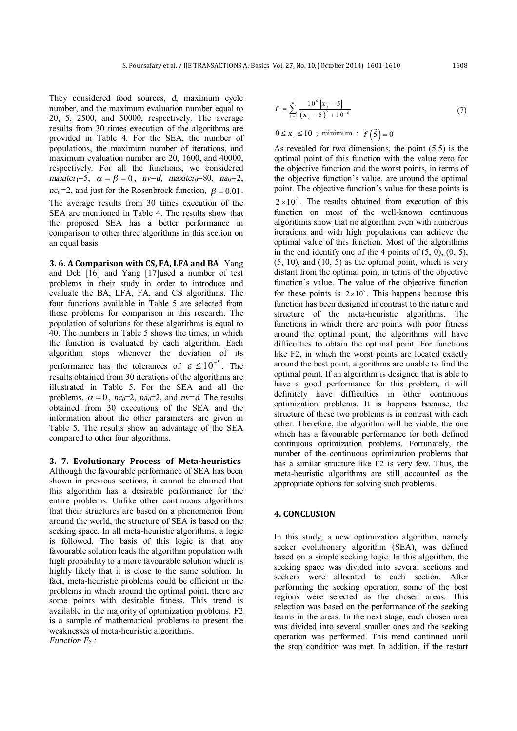They considered food sources, *d*, maximum cycle number, and the maximum evaluation number equal to 20, 5, 2500, and 50000, respectively. The average results from 30 times execution of the algorithms are provided in Table 4. For the SEA, the number of populations, the maximum number of iterations, and maximum evaluation number are 20, 1600, and 40000, respectively. For all the functions, we considered *maxiter*<sup>1=5</sup>,  $\alpha = \beta = 0$ ,  $n \neq d$ ,  $maxiter_0 = 80$ ,  $na_0 = 2$ ,  $nc_0$ =2, and just for the Rosenbrock function,  $\beta = 0.01$ . The average results from 30 times execution of the SEA are mentioned in Table 4. The results show that the proposed SEA has a better performance in comparison to other three algorithms in this section on an equal basis.

**3. 6. A Comparison with CS, FA, LFA and BA** Yang and Deb [16] and Yang [17]used a number of test problems in their study in order to introduce and evaluate the BA, LFA, FA, and CS algorithms. The four functions available in Table 5 are selected from those problems for comparison in this research. The population of solutions for these algorithms is equal to 40. The numbers in Table 5 shows the times, in which the function is evaluated by each algorithm. Each algorithm stops whenever the deviation of its performance has the tolerances of  $\varepsilon \leq 10^{-5}$ . The results obtained from 30 iterations of the algorithms are illustrated in Table 5. For the SEA and all the problems,  $\alpha = 0$ ,  $nc_0=2$ ,  $na_0=2$ , and  $nv=d$ . The results obtained from 30 executions of the SEA and the information about the other parameters are given in Table 5. The results show an advantage of the SEA compared to other four algorithms.

**3. 7. Evolutionary Process of Meta-heuristics** Although the favourable performance of SEA has been shown in previous sections, it cannot be claimed that this algorithm has a desirable performance for the entire problems. Unlike other continuous algorithms that their structures are based on a phenomenon from around the world, the structure of SEA is based on the seeking space. In all meta-heuristic algorithms, a logic is followed. The basis of this logic is that any favourable solution leads the algorithm population with high probability to a more favourable solution which is highly likely that it is close to the same solution. In fact, meta-heuristic problems could be efficient in the problems in which around the optimal point, there are some points with desirable fitness. This trend is available in the majority of optimization problems. F2 is a sample of mathematical problems to present the weaknesses of meta-heuristic algorithms. *Function F*<sub>2</sub> *:* 

$$
f = \sum_{i=1}^{d} \frac{10^{6} |x_{i} - 5|}{(x_{i} - 5)^{2} + 10^{-6}}
$$
 (7)

$$
0 \le x_i \le 10
$$
; minimum :  $f(\vec{5}) = 0$ 

As revealed for two dimensions, the point (5,5) is the optimal point of this function with the value zero for the objective function and the worst points, in terms of the objective function's value, are around the optimal point. The objective function's value for these points is  $2 \times 10^{7}$ . The results obtained from execution of this function on most of the well-known continuous algorithms show that no algorithm even with numerous iterations and with high populations can achieve the optimal value of this function. Most of the algorithms in the end identify one of the 4 points of  $(5, 0)$ ,  $(0, 5)$ ,  $(5, 10)$ , and  $(10, 5)$  as the optimal point, which is very distant from the optimal point in terms of the objective function's value. The value of the objective function for these points is  $2 \times 10^5$ . This happens because this function has been designed in contrast to the nature and structure of the meta-heuristic algorithms. The functions in which there are points with poor fitness around the optimal point, the algorithms will have difficulties to obtain the optimal point. For functions like F2, in which the worst points are located exactly around the best point, algorithms are unable to find the optimal point. If an algorithm is designed that is able to have a good performance for this problem, it will definitely have difficulties in other continuous optimization problems. It is happens because, the structure of these two problems is in contrast with each other. Therefore, the algorithm will be viable, the one which has a favourable performance for both defined continuous optimization problems. Fortunately, the number of the continuous optimization problems that has a similar structure like F2 is very few. Thus, the meta-heuristic algorithms are still accounted as the appropriate options for solving such problems.

### **4. CONCLUSION**

In this study, a new optimization algorithm, namely seeker evolutionary algorithm (SEA), was defined based on a simple seeking logic. In this algorithm, the seeking space was divided into several sections and seekers were allocated to each section. After performing the seeking operation, some of the best regions were selected as the chosen areas. This selection was based on the performance of the seeking teams in the areas. In the next stage, each chosen area was divided into several smaller ones and the seeking operation was performed. This trend continued until the stop condition was met. In addition, if the restart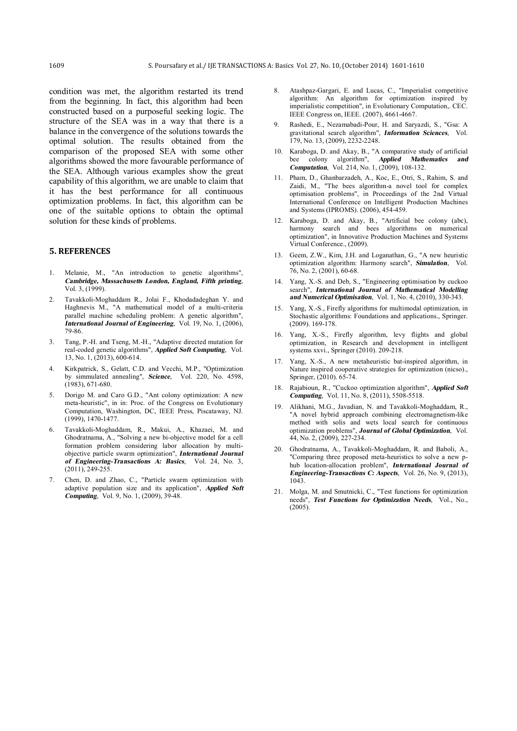condition was met, the algorithm restarted its trend from the beginning. In fact, this algorithm had been constructed based on a purposeful seeking logic. The structure of the SEA was in a way that there is a balance in the convergence of the solutions towards the optimal solution. The results obtained from the comparison of the proposed SEA with some other algorithms showed the more favourable performance of the SEA. Although various examples show the great capability of this algorithm, we are unable to claim that it has the best performance for all continuous optimization problems. In fact, this algorithm can be one of the suitable options to obtain the optimal solution for these kinds of problems.

### **5. REFERENCES**

- 1. Melanie, M., "An introduction to genetic algorithms", *Cambridge, Massachusetts London, England, Fifth printing*, Vol. 3, (1999).
- 2. Tavakkoli-Moghaddam R., Jolai F., Khodadadeghan Y. and Haghnevis M., "A mathematical model of a multi-criteria parallel machine scheduling problem: A genetic algorithm", *International Journal of Engineering*, Vol. 19, No. 1, (2006), 79-86.
- 3. Tang, P.-H. and Tseng, M.-H., "Adaptive directed mutation for real-coded genetic algorithms", *Applied Soft Computing*, Vol. 13, No. 1, (2013), 600-614.
- 4. Kirkpatrick, S., Gelatt, C.D. and Vecchi, M.P., "Optimization by simmulated annealing", *Science*, Vol. 220, No. 4598, (1983), 671-680.
- 5. Dorigo M. and Caro G.D., "Ant colony optimization: A new meta-heuristic", in in: Proc. of the Congress on Evolutionary Computation, Washington, DC, IEEE Press, Piscataway, NJ. (1999), 1470-1477.
- 6. Tavakkoli-Moghaddam, R., Makui, A., Khazaei, M. and Ghodratnama, A., "Solving a new bi-objective model for a cell formation problem considering labor allocation by multiobjective particle swarm optimization", *International Journal of Engineering-Transactions A: Basics*, Vol. 24, No. 3, (2011), 249-255.
- 7. Chen, D. and Zhao, C., "Particle swarm optimization with adaptive population size and its application", *Applied Soft Computing*, Vol. 9, No. 1, (2009), 39-48.
- 8. Atashpaz-Gargari, E. and Lucas, C., "Imperialist competitive algorithm: An algorithm for optimization inspired by imperialistic competition", in Evolutionary Computation,. CEC. IEEE Congress on, IEEE. (2007), 4661-4667.
- 9. Rashedi, E., Nezamabadi-Pour, H. and Saryazdi, S., "Gsa: A gravitational search algorithm", *Information Sciences*, Vol. 179, No. 13, (2009), 2232-2248.
- 10. Karaboga, D. and Akay, B., "A comparative study of artificial bee colony algorithm", *Applied Mathematics and Computation*, Vol. 214, No. 1, (2009), 108-132.
- 11. Pham, D., Ghanbarzadeh, A., Koc, E., Otri, S., Rahim, S. and Zaidi, M., "The bees algorithm-a novel tool for complex optimisation problems", in Proceedings of the 2nd Virtual International Conference on Intelligent Production Machines and Systems (IPROMS). (2006), 454-459.
- 12. Karaboga, D. and Akay, B., "Artificial bee colony (abc), harmony search and bees algorithms on numerical optimization", in Innovative Production Machines and Systems Virtual Conference., (2009).
- 13. Geem, Z.W., Kim, J.H. and Loganathan, G., "A new heuristic optimization algorithm: Harmony search", *Simulation*, Vol. 76, No. 2, (2001), 60-68.
- 14. Yang, X.-S. and Deb, S., "Engineering optimisation by cuckoo search", *International Journal of Mathematical Modelling and Numerical Optimisation*, Vol. 1, No. 4, (2010), 330-343.
- 15. Yang, X.-S., Firefly algorithms for multimodal optimization, in Stochastic algorithms: Foundations and applications., Springer. (2009). 169-178.
- 16. Yang, X.-S., Firefly algorithm, levy flights and global optimization, in Research and development in intelligent systems xxvi., Springer (2010). 209-218.
- 17. Yang, X.-S., A new metaheuristic bat-inspired algorithm, in Nature inspired cooperative strategies for optimization (nicso)., Springer, (2010). 65-74.
- 18. Rajabioun, R., "Cuckoo optimization algorithm", *Applied Soft Computing*, Vol. 11, No. 8, (2011), 5508-5518.
- 19. Alikhani, M.G., Javadian, N. and Tavakkoli-Moghaddam, R., "A novel hybrid approach combining electromagnetism-like method with solis and wets local search for continuous optimization problems", *Journal of Global Optimization*, Vol. 44, No. 2, (2009), 227-234.
- 20. Ghodratnama, A., Tavakkoli-Moghaddam, R. and Baboli, A., "Comparing three proposed meta-heuristics to solve a new phub location-allocation problem", *International Journal of Engineering-Transactions C: Aspects*, Vol. 26, No. 9, (2013), 1043.
- 21. Molga, M. and Smutnicki, C., "Test functions for optimization needs", *Test Functions for Optimization Needs*, Vol., No.,  $(2005)$ .